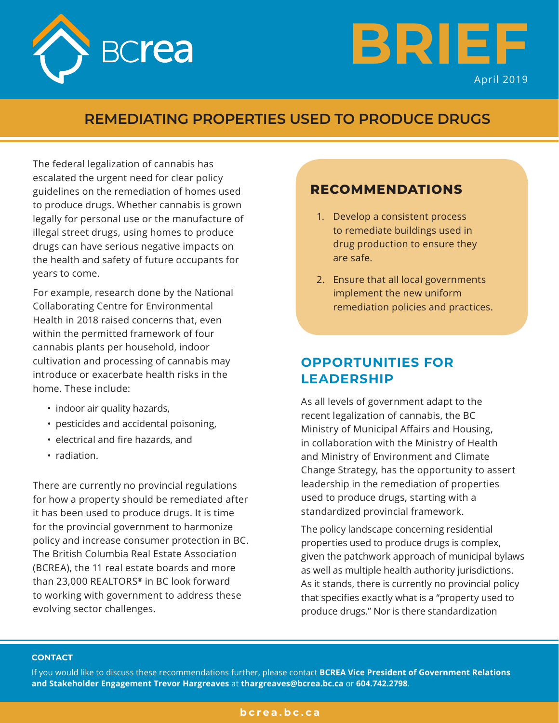



### **REMEDIATING PROPERTIES USED TO PRODUCE DRUGS**

The federal legalization of cannabis has escalated the urgent need for clear policy guidelines on the remediation of homes used to produce drugs. Whether cannabis is grown legally for personal use or the manufacture of illegal street drugs, using homes to produce drugs can have serious negative impacts on the health and safety of future occupants for years to come.

For example, research done by the National Collaborating Centre for Environmental Health in 2018 raised concerns that, even within the permitted framework of four cannabis plants per household, indoor cultivation and processing of cannabis may introduce or exacerbate health risks in the home. These include:

- indoor air quality hazards,
- pesticides and accidental poisoning,
- electrical and fire hazards, and
- radiation.

There are currently no provincial regulations for how a property should be remediated after it has been used to produce drugs. It is time for the provincial government to harmonize policy and increase consumer protection in BC. The British Columbia Real Estate Association (BCREA), the 11 real estate boards and more than 23,000 REALTORS® in BC look forward to working with government to address these evolving sector challenges.

### **RECOMMENDATIONS**

- 1. Develop a consistent process to remediate buildings used in drug production to ensure they are safe.
- 2. Ensure that all local governments implement the new uniform remediation policies and practices.

# **OPPORTUNITIES FOR LEADERSHIP**

As all levels of government adapt to the recent legalization of cannabis, the BC Ministry of Municipal Affairs and Housing, in collaboration with the Ministry of Health and Ministry of Environment and Climate Change Strategy, has the opportunity to assert leadership in the remediation of properties used to produce drugs, starting with a standardized provincial framework.

The policy landscape concerning residential properties used to produce drugs is complex, given the patchwork approach of municipal bylaws as well as multiple health authority jurisdictions. As it stands, there is currently no provincial policy that specifies exactly what is a "property used to produce drugs." Nor is there standardization

#### **CONTACT**

If you would like to discuss these recommendations further, please contact **BCREA Vice President of Government Relations and Stakeholder Engagement Trevor Hargreaves** at **thargreaves@bcrea.bc.ca** or **604.742.2798**.

### **bcrea.bc.ca**